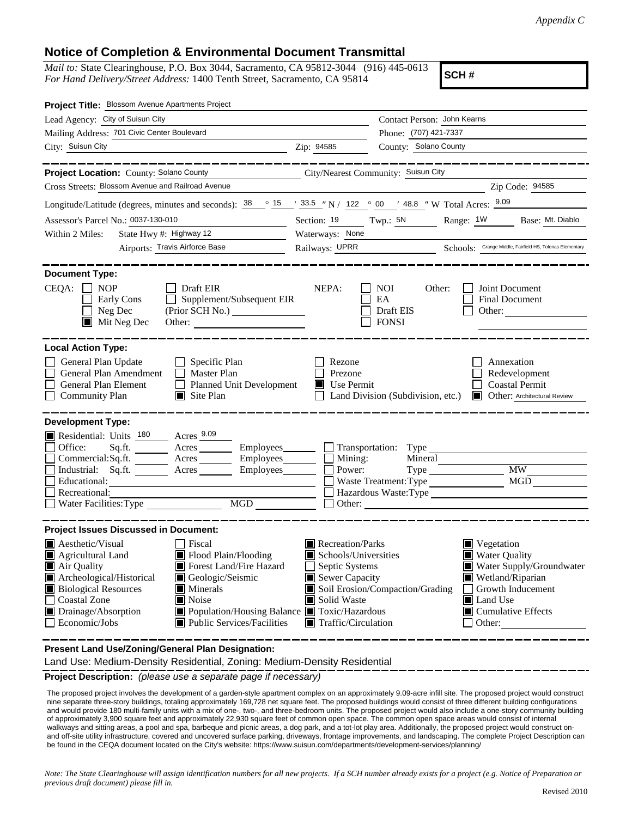## **Notice of Completion & Environmental Document Transmittal**

*Mail to:* State Clearinghouse, P.O. Box 3044, Sacramento, CA 95812-3044 (916) 445-0613 *For Hand Delivery/Street Address:* 1400 Tenth Street, Sacramento, CA 95814

**SCH #**

| Project Title: Blossom Avenue Apartments Project                                                                                                                                                                                                                                                                                                                                                      |                                                                                                                                                                            |                                                                                                                                                     |  |  |
|-------------------------------------------------------------------------------------------------------------------------------------------------------------------------------------------------------------------------------------------------------------------------------------------------------------------------------------------------------------------------------------------------------|----------------------------------------------------------------------------------------------------------------------------------------------------------------------------|-----------------------------------------------------------------------------------------------------------------------------------------------------|--|--|
| Lead Agency: City of Suisun City                                                                                                                                                                                                                                                                                                                                                                      |                                                                                                                                                                            | Contact Person: John Kearns                                                                                                                         |  |  |
| Mailing Address: 701 Civic Center Boulevard                                                                                                                                                                                                                                                                                                                                                           |                                                                                                                                                                            | Phone: (707) 421-7337                                                                                                                               |  |  |
| City: Suisun City                                                                                                                                                                                                                                                                                                                                                                                     | Zip: 94585                                                                                                                                                                 | County: Solano County                                                                                                                               |  |  |
|                                                                                                                                                                                                                                                                                                                                                                                                       |                                                                                                                                                                            |                                                                                                                                                     |  |  |
| Project Location: County: Solano County                                                                                                                                                                                                                                                                                                                                                               | City/Nearest Community: Suisun City                                                                                                                                        |                                                                                                                                                     |  |  |
| Cross Streets: Blossom Avenue and Railroad Avenue                                                                                                                                                                                                                                                                                                                                                     |                                                                                                                                                                            | Zip Code: 94585                                                                                                                                     |  |  |
| Longitude/Latitude (degrees, minutes and seconds): $\frac{38}{15}$ $\frac{33.5}{15}$ $\frac{1}{122}$ $\frac{33.5}{122}$ $\frac{1}{20}$ $\frac{1}{22}$ $\frac{1}{20}$ $\frac{1}{20}$ $\frac{1}{209}$ $\frac{1}{209}$                                                                                                                                                                                   |                                                                                                                                                                            |                                                                                                                                                     |  |  |
| Assessor's Parcel No.: 0037-130-010                                                                                                                                                                                                                                                                                                                                                                   | Section: $19$ Twp.: $5N$                                                                                                                                                   | Range: 1W Base: Mt. Diablo                                                                                                                          |  |  |
| State Hwy #: Highway 12<br>Within 2 Miles:                                                                                                                                                                                                                                                                                                                                                            | Waterways: None                                                                                                                                                            |                                                                                                                                                     |  |  |
| Airports: Travis Airforce Base                                                                                                                                                                                                                                                                                                                                                                        | Railways: UPRR Schools: Grange Middle, Fairfield HS, Tolenas Elementary                                                                                                    |                                                                                                                                                     |  |  |
| <b>Document Type:</b><br>$CEQA: \Box NP$<br>$\Box$ Draft EIR<br>$\Box$ Supplement/Subsequent EIR<br>Early Cons<br>(Prior SCH No.) ________________<br>Neg Dec<br>$\blacksquare$ Mit Neg Dec<br>Other:                                                                                                                                                                                                 | NEPA:<br>NOI<br>EA<br>Draft EIS<br><b>FONSI</b>                                                                                                                            | Joint Document<br>Other:<br>Final Document<br>Other:                                                                                                |  |  |
| <b>Local Action Type:</b>                                                                                                                                                                                                                                                                                                                                                                             |                                                                                                                                                                            |                                                                                                                                                     |  |  |
| General Plan Update<br>$\Box$ Specific Plan<br>General Plan Amendment<br>$\Box$ Master Plan<br>General Plan Element<br>Planned Unit Development<br><b>Community Plan</b><br>$\Box$ Site Plan                                                                                                                                                                                                          | Rezone<br>Annexation<br>Prezone<br>Redevelopment<br>$\blacksquare$ Use Permit<br><b>Coastal Permit</b><br>Land Division (Subdivision, etc.)<br>Other: Architectural Review |                                                                                                                                                     |  |  |
| <b>Development Type:</b><br>Residential: Units 180 Acres 9.09<br>Sq.ft. _________ Acres __________ Employees ________ $\Box$ Transportation: Type _________<br>Office:<br>Commercial:Sq.ft. ________ Acres _________ Employees _______ $\Box$<br>Industrial: Sq.ft. _______ Acres ________ Employees________ $\Box$<br>Educational:<br>Recreational:<br>MGD<br>Water Facilities: Type                 | Mining:<br>Power:<br>Waste Treatment: Type<br>ப                                                                                                                            | Mineral<br><b>MW</b><br>MGD<br>Hazardous Waste:Type<br>Other:                                                                                       |  |  |
| <b>Project Issues Discussed in Document:</b>                                                                                                                                                                                                                                                                                                                                                          |                                                                                                                                                                            |                                                                                                                                                     |  |  |
| <b>Aesthetic/Visual</b><br>  Fiscal<br>Flood Plain/Flooding<br><b>E</b> Agricultural Land<br>Forest Land/Fire Hazard<br>Air Quality<br>Archeological/Historical<br>Geologic/Seismic<br><b>Biological Resources</b><br>Minerals<br><b>Coastal Zone</b><br>Noise<br>Drainage/Absorption<br>■ Population/Housing Balance ■ Toxic/Hazardous<br>Economic/Jobs<br>$\blacksquare$ Public Services/Facilities | Recreation/Parks<br>Schools/Universities<br>Septic Systems<br>Sewer Capacity<br>Soil Erosion/Compaction/Grading<br>Solid Waste<br>$\blacksquare$ Traffic/Circulation       | Vegetation<br><b>Water Quality</b><br>Water Supply/Groundwater<br>Wetland/Riparian<br>Growth Inducement<br>Land Use<br>Cumulative Effects<br>Other: |  |  |

**Present Land Use/Zoning/General Plan Designation:**

Land Use: Medium-Density Residential, Zoning: Medium-Density Residential

**Project Description:** *(please use a separate page if necessary)*

 The proposed project involves the development of a garden-style apartment complex on an approximately 9.09-acre infill site. The proposed project would construct nine separate three-story buildings, totaling approximately 169,728 net square feet. The proposed buildings would consist of three different building configurations and would provide 180 multi-family units with a mix of one-, two-, and three-bedroom units. The proposed project would also include a one-story community building of approximately 3,900 square feet and approximately 22,930 square feet of common open space. The common open space areas would consist of internal walkways and sitting areas, a pool and spa, barbeque and picnic areas, a dog park, and a tot-lot play area. Additionally, the proposed project would construct onand off-site utility infrastructure, covered and uncovered surface parking, driveways, frontage improvements, and landscaping. The complete Project Description can be found in the CEQA document located on the City's website: https://www.suisun.com/departments/development-services/planning/

*Note: The State Clearinghouse will assign identification numbers for all new projects. If a SCH number already exists for a project (e.g. Notice of Preparation or previous draft document) please fill in.*